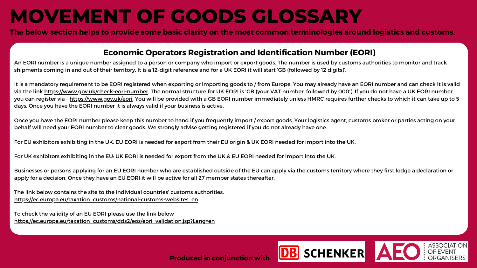### **MOVEMENT OF GOODS GLOSSARY**

The below section helps to provide some basic clarity on the most common terminologies around logistics and customs.

### **Economic Operators Registration and Identification Number (EORI)**

An EORI number is a unique number assigned to a person or company who import or export goods. The number is used by customs authorities to monitor and track shipments coming in and out of their territory. It is a 12-digit reference and for a UK EORI it will start 'GB (followed by 12 digits)'.

It is a mandatory requirement to be EORI registered when exporting or importing goods to / from Europe. You may already have an EORI number and can check it is valid via the link <https://www.gov.uk/check-eori-number>. The normal structure for UK EORI is 'GB (your VAT number, followed by 000'). If you do not have a UK EORI number you can register via - [https://www.gov.uk/eori.](https://www.gov.uk/eori) You will be provided with a GB EORI number immediately unless HMRC requires further checks to which it can take up to 5 days. Once you have the EORI number it is always valid if your business is active.

The link below contains the site to the individual countries' customs authorities. [https://ec.europa.eu/taxation\\_customs/national-customs-websites\\_en](https://ec.europa.eu/taxation_customs/national-customs-websites_en)

To check the validity of an EU EORI please use the link below [https://ec.europa.eu/taxation\\_customs/dds2/eos/eori\\_validation.jsp?Lang=en](https://ec.europa.eu/taxation_customs/dds2/eos/eori_validation.jsp?Lang=en)



Once you have the EORI number please keep this number to hand if you frequently import / export goods. Your logistics agent, customs broker or parties acting on your behalf will need your EORI number to clear goods. We strongly advise getting registered if you do not already have one.

For EU exhibitors exhibiting in the UK: EU EORI is needed for export from their EU origin & UK EORI needed for import into the UK.

For UK exhibitors exhibiting in the EU: UK EORI is needed for export from the UK & EU EORI needed for import into the UK.

Businesses or persons applying for an EU EORI number who are established outside of the EU can apply via the customs territory where they first lodge a declaration or apply for a decision. Once they have an EU EORI it will be active for all 27 member states thereafter.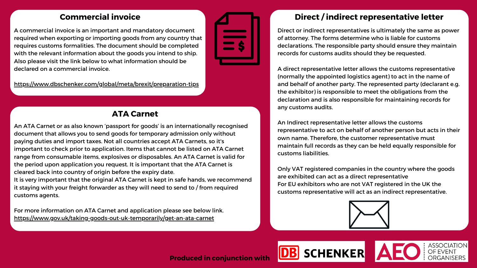### **Commercial invoice**

A commercial invoice is an important and mandatory document required when exporting or importing goods from any country that requires customs formalities. The document should be completed with the relevant information about the goods you intend to ship. Also please visit the link below to what information should be declared on a commercial invoice.

<https://www.dbschenker.com/global/meta/brexit/preparation-tips>



An ATA Carnet or as also known 'passport for goods' is an internationally recognised document that allows you to send goods for temporary admission only without paying duties and import taxes. Not all countries accept ATA Carnets, so it's important to check prior to application. Items that cannot be listed on ATA Carnet range from consumable items, explosives or disposables. An ATA Carnet is valid for the period upon application you request. It is important that the ATA Carnet is cleared back into country of origin before the expiry date. It is very important that the original ATA Carnet is kept in safe hands, we recommend it staying with your freight forwarder as they will need to send to / from required

customs agents.

For more information on ATA Carnet and application please see below link. <https://www.gov.uk/taking-goods-out-uk-temporarily/get-an-ata-carnet>

### **Direct / indirect representative letter**



## **SCHENKER**

Direct or indirect representatives is ultimately the same as power of attorney. The forms determine who is liable for customs declarations. The responsible party should ensure they maintain records for customs audits should they be requested.

A direct representative letter allows the customs representative (normally the appointed logistics agent) to act in the name of and behalf of another party. The represented party (declarant e.g. the exhibitor) is responsible to meet the obligations from the declaration and is also responsible for maintaining records for any customs audits.

An Indirect representative letter allows the customs representative to act on behalf of another person but acts in their own name. Therefore, the customer representative must maintain full records as they can be held equally responsible for customs liabilities.

Only VAT registered companies in the country where the goods are exhibited can act as a direct representative For EU exhibitors who are not VAT registered in the UK the customs representative will act as an indirect representative.